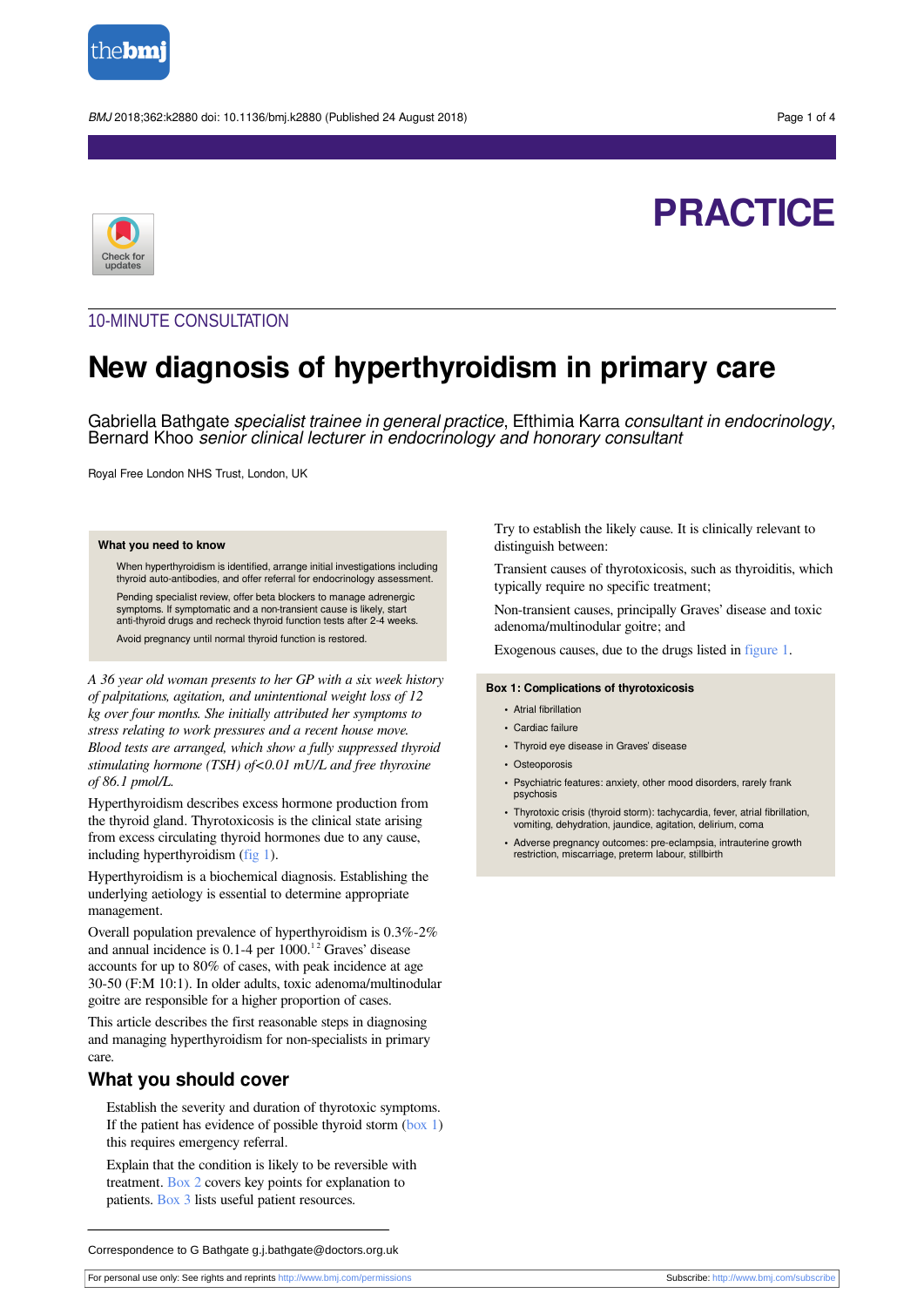

BMJ 2018;362:k2880 doi: 10.1136/bmj.k2880 (Published 24 August 2018) Page 1 of 4

**PRACTICE**



# 10-MINUTE CONSULTATION

# **New diagnosis of hyperthyroidism in primary care**

Gabriella Bathgate specialist trainee in general practice, Efthimia Karra consultant in endocrinology, Bernard Khoo senior clinical lecturer in endocrinology and honorary consultant

Royal Free London NHS Trust, London, UK

#### **What you need to know**

When hyperthyroidism is identified, arrange initial investigations including thyroid auto-antibodies, and offer referral for endocrinology assessment. Pending specialist review, offer beta blockers to manage adrenergic

symptoms. If symptomatic and a non-transient cause is likely, start anti-thyroid drugs and recheck thyroid function tests after 2-4 weeks. Avoid pregnancy until normal thyroid function is restored.

*A 36 year old woman presents to her GP with a six week history of palpitations, agitation, and unintentional weight loss of 12 kg over four months. She initially attributed her symptoms to stress relating to work pressures and a recent house move. Blood tests are arranged, which show a fully suppressed thyroid stimulating hormone (TSH) of<0.01 mU/L and free thyroxine of 86.1 pmol/L.*

Hyperthyroidism describes excess hormone production from the thyroid gland. Thyrotoxicosis is the clinical state arising from excess circulating thyroid hormones due to any cause, including hyperthyroidism [\(fig 1](#page-3-0)).

Hyperthyroidism is a biochemical diagnosis. Establishing the underlying aetiology is essential to determine appropriate management.

Overall population prevalence of hyperthyroidism is 0.3%-2% and annual incidence is  $0.1$ -4 per  $1000$ .<sup>12</sup> Graves' disease accounts for up to 80% of cases, with peak incidence at age 30-50 (F:M 10:1). In older adults, toxic adenoma/multinodular goitre are responsible for a higher proportion of cases.

This article describes the first reasonable steps in diagnosing and managing hyperthyroidism for non-specialists in primary care.

# **What you should cover**

Establish the severity and duration of thyrotoxic symptoms. If the patient has evidence of possible thyroid storm  $(box 1)$  $(box 1)$ this requires emergency referral.

Explain that the condition is likely to be reversible with treatment. [Box 2](#page-1-0) covers key points for explanation to patients. [Box 3](#page-1-1) lists useful patient resources.

Try to establish the likely cause. It is clinically relevant to distinguish between:

Transient causes of thyrotoxicosis, such as thyroiditis, which typically require no specific treatment;

<span id="page-0-0"></span>Non-transient causes, principally Graves' disease and toxic adenoma/multinodular goitre; and

Exogenous causes, due to the drugs listed in [figure 1](#page-3-0).

### **Box 1: Complications of thyrotoxicosis**

- **•** Atrial fibrillation
- **•** Cardiac failure
- **•** Thyroid eye disease in Graves' disease
- **•** Osteoporosis
- **•** Psychiatric features: anxiety, other mood disorders, rarely frank psychosis
- **•** Thyrotoxic crisis (thyroid storm): tachycardia, fever, atrial fibrillation, vomiting, dehydration, jaundice, agitation, delirium, coma
- **•** Adverse pregnancy outcomes: pre-eclampsia, intrauterine growth restriction, miscarriage, preterm labour, stillbirth

Correspondence to G Bathgate g.j.bathgate@doctors.org.uk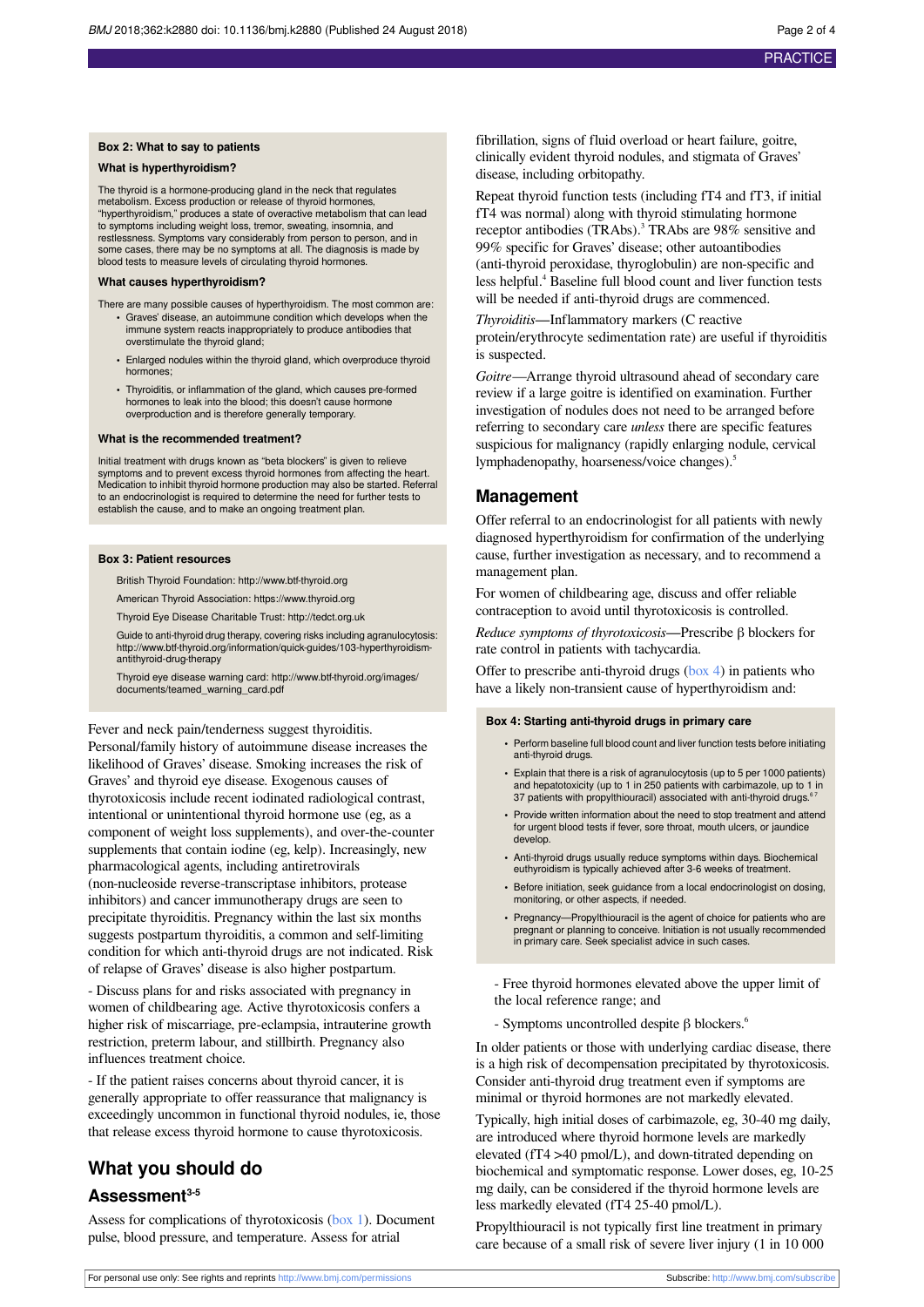# <span id="page-1-0"></span>**Box 2: What to say to patients**

#### **What is hyperthyroidism?**

The thyroid is a hormone-producing gland in the neck that regulates metabolism. Excess production or release of thyroid hormones, "hyperthyroidism," produces a state of overactive metabolism that can lead to symptoms including weight loss, tremor, sweating, insomnia, and restlessness. Symptoms vary considerably from person to person, and in some cases, there may be no symptoms at all. The diagnosis is made by blood tests to measure levels of circulating thyroid hormones.

## **What causes hyperthyroidism?**

- There are many possible causes of hyperthyroidism. The most common are: **•** Graves' disease, an autoimmune condition which develops when the immune system reacts inappropriately to produce antibodies that overstimulate the thyroid gland;
	- **•** Enlarged nodules within the thyroid gland, which overproduce thyroid hormones;
	- **•** Thyroiditis, or inflammation of the gland, which causes pre-formed hormones to leak into the blood; this doesn't cause hormone overproduction and is therefore generally temporary.

### **What is the recommended treatment?**

<span id="page-1-1"></span>Initial treatment with drugs known as "beta blockers" is given to relieve symptoms and to prevent excess thyroid hormones from affecting the heart. Medication to inhibit thyroid hormone production may also be started. Referral to an endocrinologist is required to determine the need for further tests to establish the cause, and to make an ongoing treatment plan.

#### **Box 3: Patient resources**

British Thyroid Foundation: <http://www.btf-thyroid.org>

American Thyroid Association: https://www.thyroid.org

Thyroid Eye Disease Charitable Trust: <http://tedct.org.uk>

Guide to anti-thyroid drug therapy, covering risks including agranulocytosis: [http://www.btf-thyroid.org/information/quick-guides/103-hyperthyroidism](http://www.btf-thyroid.org/information/quick-guides/103-hyperthyroidism-antithyroid-drug-therapy)[antithyroid-drug-therapy](http://www.btf-thyroid.org/information/quick-guides/103-hyperthyroidism-antithyroid-drug-therapy)

Thyroid eye disease warning card: [http://www.btf-thyroid.org/images/](http://www.btf-thyroid.org/images/documents/teamed_warning_card.pdf) [documents/teamed\\_warning\\_card.pdf](http://www.btf-thyroid.org/images/documents/teamed_warning_card.pdf)

Fever and neck pain/tenderness suggest thyroiditis. Personal/family history of autoimmune disease increases the likelihood of Graves' disease. Smoking increases the risk of Graves' and thyroid eye disease. Exogenous causes of thyrotoxicosis include recent iodinated radiological contrast, intentional or unintentional thyroid hormone use (eg, as a component of weight loss supplements), and over-the-counter supplements that contain iodine (eg, kelp). Increasingly, new pharmacological agents, including antiretrovirals (non-nucleoside reverse-transcriptase inhibitors, protease inhibitors) and cancer immunotherapy drugs are seen to precipitate thyroiditis. Pregnancy within the last six months suggests postpartum thyroiditis, a common and self-limiting condition for which anti-thyroid drugs are not indicated. Risk of relapse of Graves' disease is also higher postpartum.

- Discuss plans for and risks associated with pregnancy in women of childbearing age. Active thyrotoxicosis confers a higher risk of miscarriage, pre-eclampsia, intrauterine growth restriction, preterm labour, and stillbirth. Pregnancy also influences treatment choice.

- If the patient raises concerns about thyroid cancer, it is generally appropriate to offer reassurance that malignancy is exceedingly uncommon in functional thyroid nodules, ie, those that release excess thyroid hormone to cause thyrotoxicosis.

# **What you should do**

# **Assessment 3-5**

Assess for complications of thyrotoxicosis [\(box 1\)](#page-0-0). Document pulse, blood pressure, and temperature. Assess for atrial

fibrillation, signs of fluid overload or heart failure, goitre, clinically evident thyroid nodules, and stigmata of Graves' disease, including orbitopathy.

Repeat thyroid function tests (including fT4 and fT3, if initial fT4 was normal) along with thyroid stimulating hormone receptor antibodies (TRAbs).<sup>3</sup> TRAbs are 98% sensitive and 99% specific for Graves' disease; other autoantibodies (anti-thyroid peroxidase, thyroglobulin) are non-specific and less helpful.<sup>4</sup> Baseline full blood count and liver function tests will be needed if anti-thyroid drugs are commenced.

*Thyroiditis*—Inflammatory markers (C reactive protein/erythrocyte sedimentation rate) are useful if thyroiditis is suspected.

*Goitre—*Arrange thyroid ultrasound ahead of secondary care review if a large goitre is identified on examination. Further investigation of nodules does not need to be arranged before referring to secondary care *unless* there are specific features suspicious for malignancy (rapidly enlarging nodule, cervical lymphadenopathy, hoarseness/voice changes).<sup>5</sup>

# **Management**

Offer referral to an endocrinologist for all patients with newly diagnosed hyperthyroidism for confirmation of the underlying cause, further investigation as necessary, and to recommend a management plan.

For women of childbearing age, discuss and offer reliable contraception to avoid until thyrotoxicosis is controlled.

<span id="page-1-2"></span>*Reduce symptoms of thyrotoxicosis*—Prescribe β blockers for rate control in patients with tachycardia.

Offer to prescribe anti-thyroid drugs  $(box 4)$  $(box 4)$  $(box 4)$  in patients who have a likely non-transient cause of hyperthyroidism and:

### **Box 4: Starting anti-thyroid drugs in primary care**

- **•** Perform baseline full blood count and liver function tests before initiating anti-thyroid drugs.
- **•** Explain that there is a risk of agranulocytosis (up to 5 per 1000 patients) and hepatotoxicity (up to 1 in 250 patients with carbimazole, up to 1 in 37 patients with propylthiouracil) associated with anti-thyroid drugs.<sup>67</sup>
- **•** Provide written information about the need to stop treatment and attend for urgent blood tests if fever, sore throat, mouth ulcers, or jaundice develop.
- **•** Anti-thyroid drugs usually reduce symptoms within days. Biochemical euthyroidism is typically achieved after 3-6 weeks of treatment.
- **•** Before initiation, seek guidance from a local endocrinologist on dosing, monitoring, or other aspects, if needed.
- **•** Pregnancy—Propylthiouracil is the agent of choice for patients who are pregnant or planning to conceive. Initiation is not usually recommended in primary care. Seek specialist advice in such cases.

- Free thyroid hormones elevated above the upper limit of the local reference range; and

- Symptoms uncontrolled despite β blockers. 6

In older patients or those with underlying cardiac disease, there is a high risk of decompensation precipitated by thyrotoxicosis. Consider anti-thyroid drug treatment even if symptoms are minimal or thyroid hormones are not markedly elevated.

Typically, high initial doses of carbimazole, eg, 30-40 mg daily, are introduced where thyroid hormone levels are markedly elevated (fT4 >40 pmol/L), and down-titrated depending on biochemical and symptomatic response. Lower doses, eg, 10-25 mg daily, can be considered if the thyroid hormone levels are less markedly elevated (fT4 25-40 pmol/L).

Propylthiouracil is not typically first line treatment in primary care because of a small risk of severe liver injury (1 in 10 000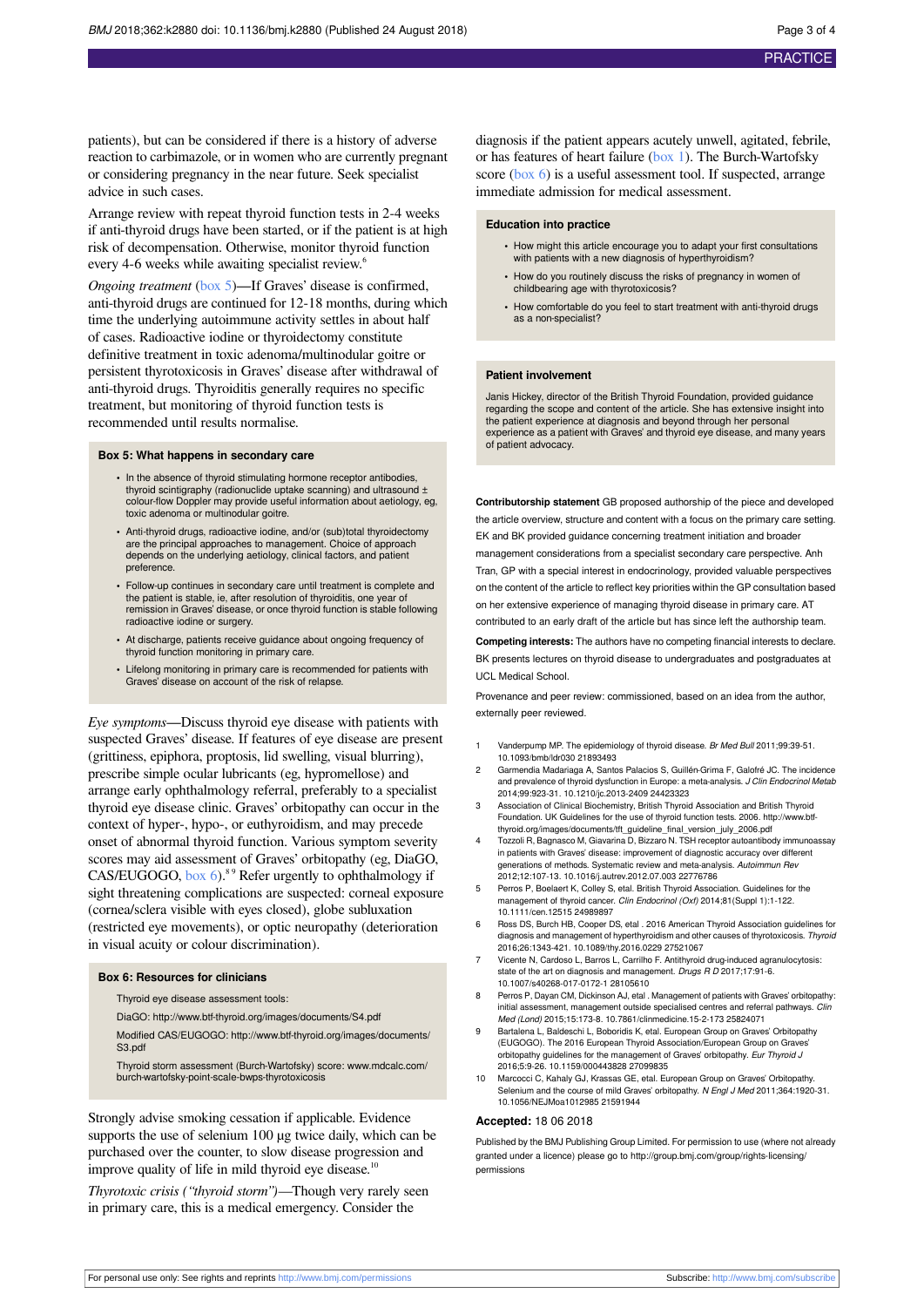patients), but can be considered if there is a history of adverse reaction to carbimazole, or in women who are currently pregnant or considering pregnancy in the near future. Seek specialist advice in such cases.

Arrange review with repeat thyroid function tests in 2-4 weeks if anti-thyroid drugs have been started, or if the patient is at high risk of decompensation. Otherwise, monitor thyroid function every 4-6 weeks while awaiting specialist review. 6

*Ongoing treatment* ([box 5\)](#page-2-0)—If Graves' disease is confirmed, anti-thyroid drugs are continued for 12-18 months, during which time the underlying autoimmune activity settles in about half of cases. Radioactive iodine or thyroidectomy constitute definitive treatment in toxic adenoma/multinodular goitre or persistent thyrotoxicosis in Graves' disease after withdrawal of anti-thyroid drugs. Thyroiditis generally requires no specific treatment, but monitoring of thyroid function tests is recommended until results normalise.

### <span id="page-2-0"></span>**Box 5: What happens in secondary care**

- **•** In the absence of thyroid stimulating hormone receptor antibodies, thyroid scintigraphy (radionuclide uptake scanning) and ultrasound ± colour-flow Doppler may provide useful information about aetiology, eg, toxic adenoma or multinodular goitre.
- **•** Anti-thyroid drugs, radioactive iodine, and/or (sub)total thyroidectomy are the principal approaches to management. Choice of approach depends on the underlying aetiology, clinical factors, and patient preference.
- **•** Follow-up continues in secondary care until treatment is complete and the patient is stable, ie, after resolution of thyroiditis, one year of remission in Graves' disease, or once thyroid function is stable following radioactive iodine or surgery.
- **•** At discharge, patients receive guidance about ongoing frequency of thyroid function monitoring in primary care.
- **•** Lifelong monitoring in primary care is recommended for patients with Graves' disease on account of the risk of relapse.

*Eye symptoms*—Discuss thyroid eye disease with patients with suspected Graves' disease. If features of eye disease are present (grittiness, epiphora, proptosis, lid swelling, visual blurring), prescribe simple ocular lubricants (eg, hypromellose) and arrange early ophthalmology referral, preferably to a specialist thyroid eye disease clinic. Graves' orbitopathy can occur in the context of hyper-, hypo-, or euthyroidism, and may precede onset of abnormal thyroid function. Various symptom severity scores may aid assessment of Graves' orbitopathy (eg, DiaGO, CAS/EUGOGO, box  $6$ ).<sup>89</sup> Refer urgently to ophthalmology if sight threatening complications are suspected: corneal exposure (cornea/sclera visible with eyes closed), globe subluxation (restricted eye movements), or optic neuropathy (deterioration in visual acuity or colour discrimination).

# <span id="page-2-1"></span>**Box 6: Resources for clinicians**

Thyroid eye disease assessment tools:

DiaGO: <http://www.btf-thyroid.org/images/documents/S4.pdf>

Modified CAS/EUGOGO: [http://www.btf-thyroid.org/images/documents/](http://www.btf-thyroid.org/images/documents/S3.pdf) [S3.pdf](http://www.btf-thyroid.org/images/documents/S3.pdf)

Thyroid storm assessment (Burch-Wartofsky) score: [www.mdcalc.com/](http://www.mdcalc.com/burch-wartofsky-point-scale-bwps-thyrotoxicosis) [burch-wartofsky-point-scale-bwps-thyrotoxicosis](http://www.mdcalc.com/burch-wartofsky-point-scale-bwps-thyrotoxicosis)

Strongly advise smoking cessation if applicable. Evidence supports the use of selenium 100 µg twice daily, which can be purchased over the counter, to slow disease progression and improve quality of life in mild thyroid eye disease.<sup>10</sup>

*Thyrotoxic crisis ("thyroid storm")—*Though very rarely seen in primary care, this is a medical emergency. Consider the

diagnosis if the patient appears acutely unwell, agitated, febrile, or has features of heart failure ([box 1](#page-0-0)). The Burch-Wartofsky score [\(box 6\)](#page-2-1) is a useful assessment tool. If suspected, arrange immediate admission for medical assessment.

### **Education into practice**

- **•** How might this article encourage you to adapt your first consultations with patients with a new diagnosis of hyperthyroidism?
- **•** How do you routinely discuss the risks of pregnancy in women of childbearing age with thyrotoxicosis?
- **•** How comfortable do you feel to start treatment with anti-thyroid drugs as a non-specialist?

### **Patient involvement**

Janis Hickey, director of the British Thyroid Foundation, provided guidance regarding the scope and content of the article. She has extensive insight into the patient experience at diagnosis and beyond through her personal experience as a patient with Graves' and thyroid eye disease, and many years of patient advocacy.

**Contributorship statement** GB proposed authorship of the piece and developed the article overview, structure and content with a focus on the primary care setting. EK and BK provided guidance concerning treatment initiation and broader management considerations from a specialist secondary care perspective. Anh Tran, GP with a special interest in endocrinology, provided valuable perspectives on the content of the article to reflect key priorities within the GP consultation based on her extensive experience of managing thyroid disease in primary care. AT contributed to an early draft of the article but has since left the authorship team.

**Competing interests:** The authors have no competing financial interests to declare. BK presents lectures on thyroid disease to undergraduates and postgraduates at UCL Medical School.

Provenance and peer review: commissioned, based on an idea from the author, externally peer reviewed.

- 1 Vanderpump MP. The epidemiology of thyroid disease. Br Med Bull 2011;99:39-51. 10.1093/bmb/ldr030 21893493
- 2 Garmendia Madariaga A, Santos Palacios S, Guillén-Grima F, Galofré JC. The incidence and prevalence of thyroid dysfunction in Europe: a meta-analysis. J Clin Endocrinol Metab 2014;99:923-31. 10.1210/jc.2013-2409 24423323
- Association of Clinical Biochemistry, British Thyroid Association and British Thyroid Foundation. UK Guidelines for the use of thyroid function tests. 2006. [http://www.btf](http://www.btf-thyroid.org/images/documents/tft_guideline_final_version_july_2006.pdf)[thyroid.org/images/documents/tft\\_guideline\\_final\\_version\\_july\\_2006.pdf](http://www.btf-thyroid.org/images/documents/tft_guideline_final_version_july_2006.pdf)
- 4 Tozzoli R, Bagnasco M, Giavarina D, Bizzaro N. TSH receptor autoantibody immunoassay in patients with Graves' disease: improvement of diagnostic accuracy over different generations of methods. Systematic review and meta-analysis. Autoimmun Rev 2012;12:107-13. 10.1016/j.autrev.2012.07.003 22776786
- 5 Perros P, Boelaert K, Colley S, etal. British Thyroid Association. Guidelines for the management of thyroid cancer. Clin Endocrinol (Oxf) 2014;81(Suppl 1):1-122. 10.1111/cen.12515 24989897
- 6 Ross DS, Burch HB, Cooper DS, etal . 2016 American Thyroid Association guidelines for diagnosis and management of hyperthyroidism and other causes of thyrotoxicosis. Thyroid 2016;26:1343-421. 10.1089/thy.2016.0229 27521067
- 7 Vicente N, Cardoso L, Barros L, Carrilho F. Antithyroid drug-induced agranulocytosis: state of the art on diagnosis and management. Drugs R D 2017;17:91-6. 10.1007/s40268-017-0172-1 28105610
- 8 Perros P, Dayan CM, Dickinson AJ, etal . Management of patients with Graves' orbitopathy: initial assessment, management outside specialised centres and referral pathways. Clin Med (Lond) 2015;15:173-8. 10.7861/clinmedicine.15-2-173 25824071
- 9 Bartalena L, Baldeschi L, Boboridis K, etal. European Group on Graves' Orbitopathy (EUGOGO). The 2016 European Thyroid Association/European Group on Graves' orbitopathy guidelines for the management of Graves' orbitopathy. Eur Thyroid J 2016;5:9-26. 10.1159/000443828 27099835
- 10 Marcocci C, Kahaly GJ, Krassas GE, etal. European Group on Graves' Orbitopathy. Selenium and the course of mild Graves' orbitopathy. N Engl J Med 2011;364:1920-31. 10.1056/NEJMoa1012985 21591944

### **Accepted:** 18 06 2018

Published by the BMJ Publishing Group Limited. For permission to use (where not already granted under a licence) please go to [http://group.bmj.com/group/rights-licensing/](http://group.bmj.com/group/rights-licensing/permissions) [permissions](http://group.bmj.com/group/rights-licensing/permissions)